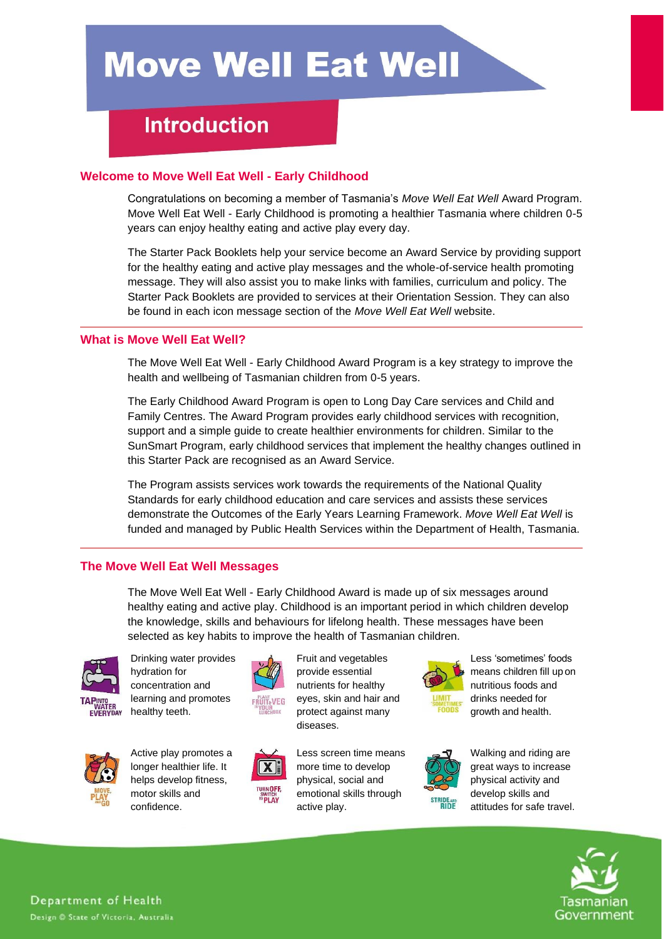# **Move Well Eat Well**

# **Introduction**

# **Welcome to Move Well Eat Well - Early Childhood**

Congratulations on becoming a member of Tasmania's *Move Well Eat Well* Award Program. Move Well Eat Well - Early Childhood is promoting a healthier Tasmania where children 0-5 years can enjoy healthy eating and active play every day.

The Starter Pack Booklets help your service become an Award Service by providing support for the healthy eating and active play messages and the whole-of-service health promoting message. They will also assist you to make links with families, curriculum and policy. The Starter Pack Booklets are provided to services at their Orientation Session. They can also be found in each icon message section of the *Move Well Eat Well* website.

## **What is Move Well Eat Well?**

The Move Well Eat Well - Early Childhood Award Program is a key strategy to improve the health and wellbeing of Tasmanian children from 0-5 years.

The Early Childhood Award Program is open to Long Day Care services and Child and Family Centres. The Award Program provides early childhood services with recognition, support and a simple guide to create healthier environments for children. Similar to the SunSmart Program, early childhood services that implement the healthy changes outlined in this Starter Pack are recognised as an Award Service.

The Program assists services work towards the requirements of the National Quality Standards for early childhood education and care services and assists these services demonstrate the Outcomes of the Early Years Learning Framework. *Move Well Eat Well* is funded and managed by Public Health Services within the Department of Health, Tasmania.

# **The Move Well Eat Well Messages**

The Move Well Eat Well - Early Childhood Award is made up of six messages around healthy eating and active play. Childhood is an important period in which children develop the knowledge, skills and behaviours for lifelong health. These messages have been selected as key habits to improve the health of Tasmanian children.



Drinking water provides hydration for concentration and learning and promotes healthy teeth.



Active play promotes a longer healthier life. It helps develop fitness, motor skills and

confidence.



 $\overline{\mathbf{X}}$   $\mathbf{F}$ 

Fruit and vegetables provide essential nutrients for healthy eyes, skin and hair and protect against many diseases.

Less screen time means more time to develop physical, social and emotional skills through active play.



Less 'sometimes' foods means children fill upon nutritious foods and drinks needed for growth and health.



Walking and riding are great ways to increase physical activity and develop skills and attitudes for safe travel.



Department of Health Design @ State of Victoria, Australia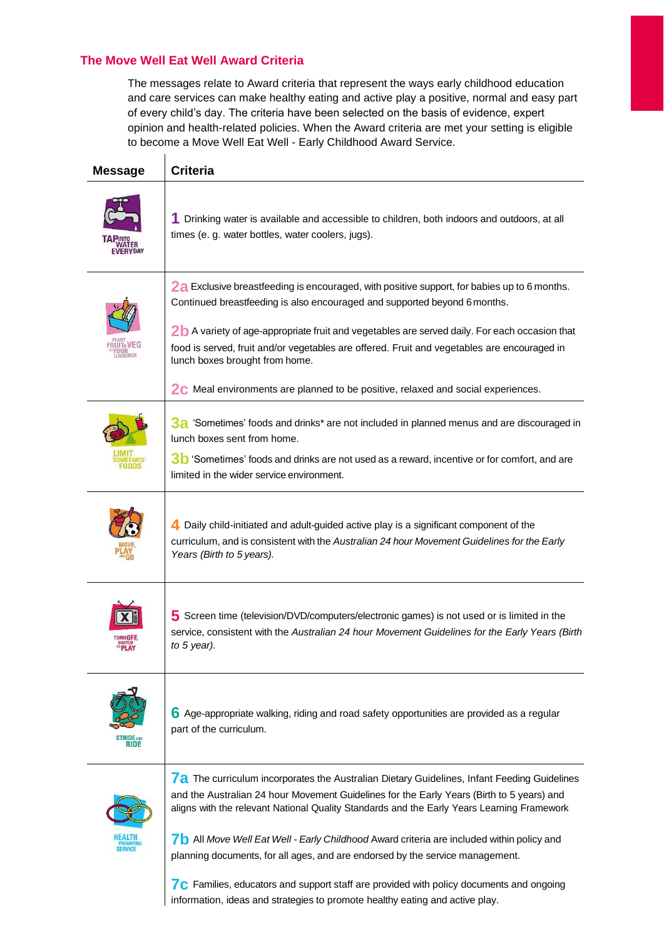# **The Move Well Eat Well Award Criteria**

 $\mathbf{r}$ 

 $\overline{a}$ 

 $\overline{a}$ 

 $\overline{a}$ 

The messages relate to Award criteria that represent the ways early childhood education and care services can make healthy eating and active play a positive, normal and easy part of every child's day. The criteria have been selected on the basis of evidence, expert opinion and health-related policies. When the Award criteria are met your setting is eligible to become a Move Well Eat Well - Early Childhood Award Service.

| <b>Message</b> | <b>Criteria</b>                                                                                                                                                                                                                                                                                                                                                                                                                                                                                       |
|----------------|-------------------------------------------------------------------------------------------------------------------------------------------------------------------------------------------------------------------------------------------------------------------------------------------------------------------------------------------------------------------------------------------------------------------------------------------------------------------------------------------------------|
|                | 1 Drinking water is available and accessible to children, both indoors and outdoors, at all<br>times (e. g. water bottles, water coolers, jugs).                                                                                                                                                                                                                                                                                                                                                      |
|                | 2a Exclusive breastfeeding is encouraged, with positive support, for babies up to 6 months.<br>Continued breastfeeding is also encouraged and supported beyond 6 months.<br>2b A variety of age-appropriate fruit and vegetables are served daily. For each occasion that<br>food is served, fruit and/or vegetables are offered. Fruit and vegetables are encouraged in<br>lunch boxes brought from home.<br><b>2C</b> Meal environments are planned to be positive, relaxed and social experiences. |
|                | $3a$ 'Sometimes' foods and drinks* are not included in planned menus and are discouraged in<br>lunch boxes sent from home.<br>30 'Sometimes' foods and drinks are not used as a reward, incentive or for comfort, and are<br>limited in the wider service environment.                                                                                                                                                                                                                                |
|                | 4. Daily child-initiated and adult-guided active play is a significant component of the<br>curriculum, and is consistent with the Australian 24 hour Movement Guidelines for the Early<br>Years (Birth to 5 years).                                                                                                                                                                                                                                                                                   |
|                | 5 Screen time (television/DVD/computers/electronic games) is not used or is limited in the<br>service, consistent with the Australian 24 hour Movement Guidelines for the Early Years (Birth<br>to 5 year).                                                                                                                                                                                                                                                                                           |
|                | 6 Age-appropriate walking, riding and road safety opportunities are provided as a regular<br>part of the curriculum.                                                                                                                                                                                                                                                                                                                                                                                  |
|                | 7a The curriculum incorporates the Australian Dietary Guidelines, Infant Feeding Guidelines<br>and the Australian 24 hour Movement Guidelines for the Early Years (Birth to 5 years) and<br>aligns with the relevant National Quality Standards and the Early Years Learning Framework<br><b>7</b> All Move Well Eat Well - Early Childhood Award criteria are included within policy and<br>planning documents, for all ages, and are endorsed by the service management.                            |

**7c** Families, educators and support staff are provided with policy documents and ongoing information, ideas and strategies to promote healthy eating and active play.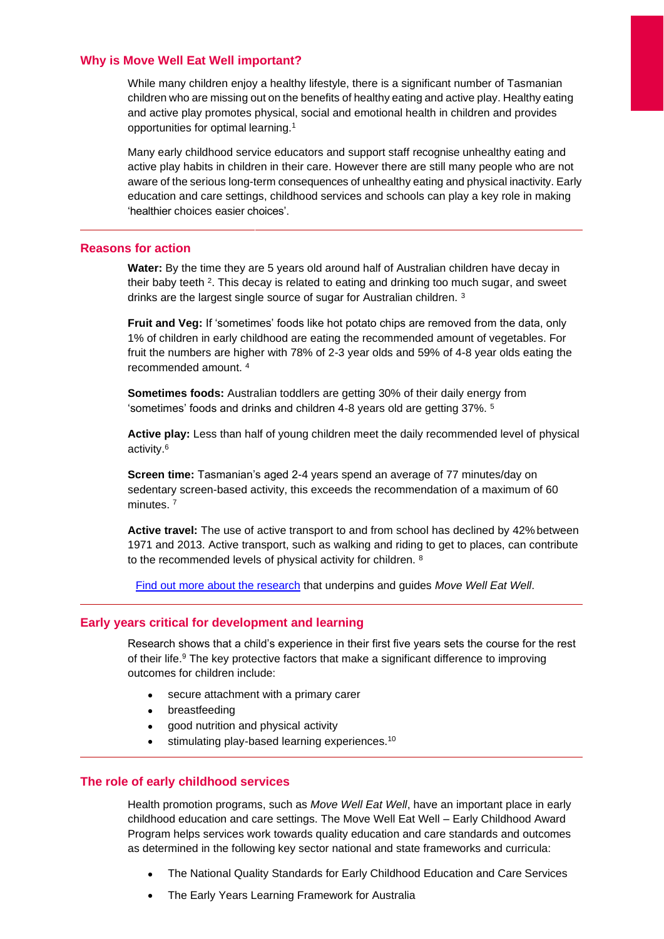#### **Why is Move Well Eat Well important?**

While many children enjoy a healthy lifestyle, there is a significant number of Tasmanian children who are missing out on the benefits of healthy eating and active play. Healthy eating and active play promotes physical, social and emotional health in children and provides opportunities for optimal learning.<sup>1</sup>

Many early childhood service educators and support staff recognise unhealthy eating and active play habits in children in their care. However there are still many people who are not aware of the serious long-term consequences of unhealthy eating and physical inactivity. Early education and care settings, childhood services and schools can play a key role in making 'healthier choices easier choices'.

#### **Reasons for action**

**Water:** By the time they are 5 years old around half of Australian children have decay in their baby teeth <sup>2</sup>. This decay is related to eating and drinking too much sugar, and sweet drinks are the largest single source of sugar for Australian children. <sup>3</sup>

**Fruit and Veg:** If 'sometimes' foods like hot potato chips are removed from the data, only 1% of children in early childhood are eating the recommended amount of vegetables. For fruit the numbers are higher with 78% of 2-3 year olds and 59% of 4-8 year olds eating the recommended amount. <sup>4</sup>

**Sometimes foods:** Australian toddlers are getting 30% of their daily energy from 'sometimes' foods and drinks and children 4-8 years old are getting 37%. <sup>5</sup>

**Active play:** Less than half of young children meet the daily recommended level of physical activity.<sup>6</sup>

**Screen time:** Tasmanian's aged 2-4 years spend an average of 77 minutes/day on sedentary screen-based activity, this exceeds the recommendation of a maximum of 60 minutes.<sup>7</sup>

**Active travel:** The use of active transport to and from school has declined by 42% between 1971 and 2013. Active transport, such as walking and riding to get to places, can contribute to the recommended levels of physical activity for children. <sup>8</sup>

Find out [more about the research](http://movewelleatwell.tas.gov.au/research) that underpins and guides *Move Well Eat Well*.

#### **Early years critical for development and learning**

Research shows that a child's experience in their first five years sets the course for the rest of their life.<sup>9</sup> The key protective factors that make a significant difference to improving outcomes for children include:

- secure attachment with a primary carer
- breastfeeding
- good nutrition and physical activity
- stimulating play-based learning experiences.<sup>10</sup>

#### **The role of early childhood services**

Health promotion programs, such as *Move Well Eat Well*, have an important place in early childhood education and care settings. The Move Well Eat Well – Early Childhood Award Program helps services work towards quality education and care standards and outcomes as determined in the following key sector national and state frameworks and curricula:

- The National Quality Standards for Early Childhood Education and Care Services
- The Early Years Learning Framework for Australia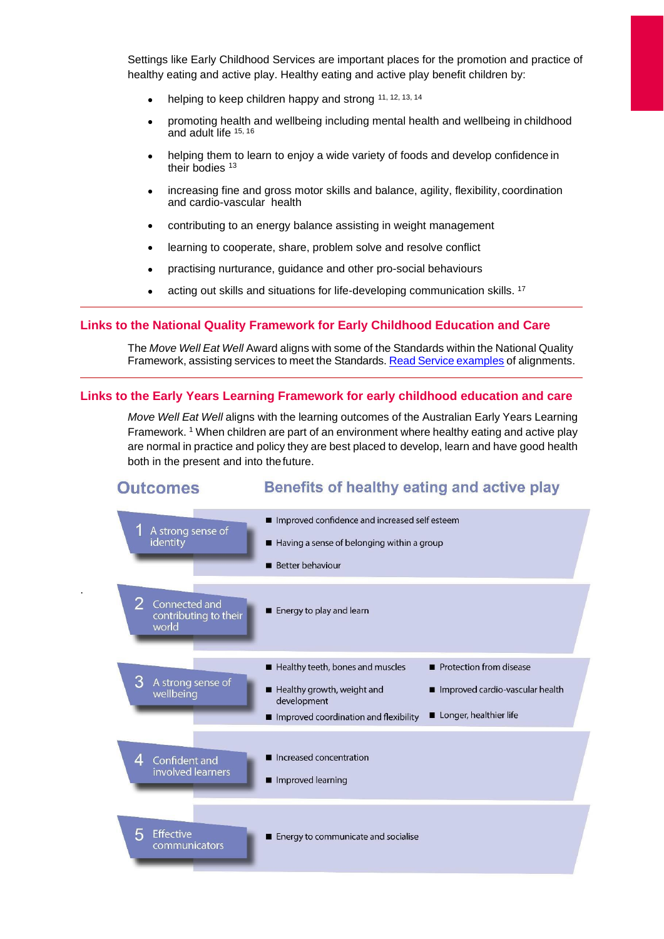Settings like Early Childhood Services are important places for the promotion and practice of healthy eating and active play. Healthy eating and active play benefit children by:

- helping to keep children happy and strong 11, 12, 13, 14
- promoting health and wellbeing including mental health and wellbeing in childhood and adult life 15, 16
- helping them to learn to enjoy a wide variety of foods and develop confidence in their bodies<sup>13</sup>
- increasing fine and gross motor skills and balance, agility, flexibility, coordination and cardio-vascular health
- contributing to an energy balance assisting in weight management
- learning to cooperate, share, problem solve and resolve conflict
- practising nurturance, guidance and other pro-social behaviours
- acting out skills and situations for life-developing communication skills. <sup>17</sup>

#### **Links to the National Quality Framework for Early Childhood Education and Care**

The *Move Well Eat Well* Award aligns with some of the Standards within the National Quality Framework, assisting services to meet the Standards. Read Service [examples](http://movewelleatwell.tas.gov.au/early_childhood_services/health_promoting_school/health_promoting_service_starter_pack/) of alignments.

#### **Links to the Early Years Learning Framework for early childhood education and care**

.

*Move Well Eat Well* aligns with the learning outcomes of the Australian Early Years Learning Framework. <sup>1</sup> When children are part of an environment where healthy eating and active play are normal in practice and policy they are best placed to develop, learn and have good health both in the present and into thefuture.

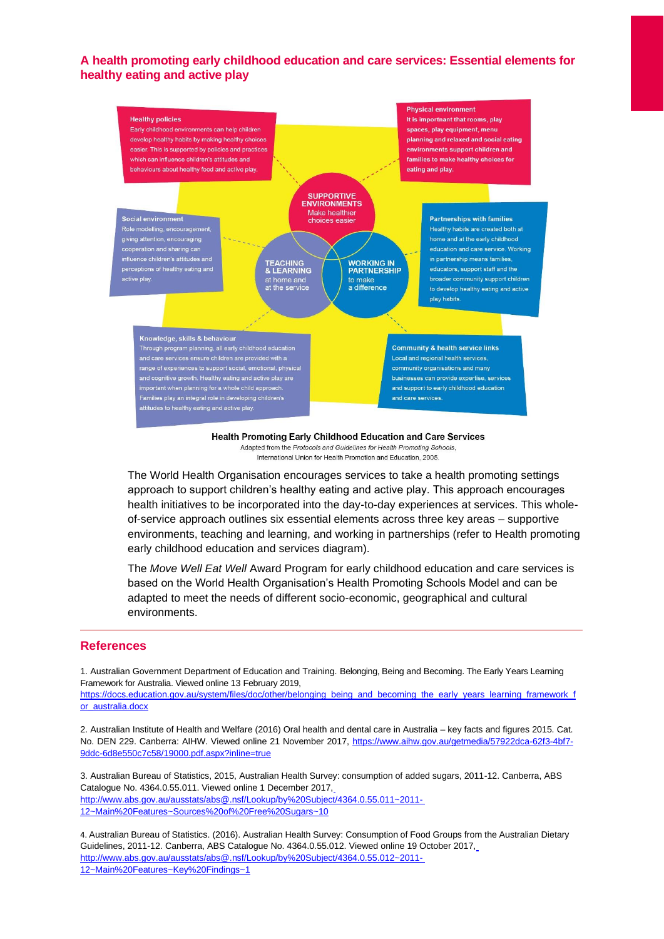## **A health promoting early childhood education and care services: Essential elements for healthy eating and active play**



Health Promoting Early Childhood Education and Care Services Adapted from the Protocols and Guidelines for Health Promoting Schools, International Union for Health Promotion and Education, 2005.

The World Health Organisation encourages services to take a health promoting settings approach to support children's healthy eating and active play. This approach encourages health initiatives to be incorporated into the day-to-day experiences at services. This wholeof-service approach outlines six essential elements across three key areas – supportive environments, teaching and learning, and working in partnerships (refer to Health promoting early childhood education and services diagram).

The *Move Well Eat Well* Award Program for early childhood education and care services is based on the World Health Organisation's Health Promoting Schools Model and can be adapted to meet the needs of different socio-economic, geographical and cultural environments.

#### **References**

1. Australian Government Department of Education and Training. Belonging, Being and Becoming. The Early Years Learning Framework for Australia. Viewed online 13 February 2019,

[https://docs.education.gov.au/system/files/doc/other/belonging\\_being\\_and\\_becoming\\_the\\_early\\_years\\_learning\\_framework\\_f](https://docs.education.gov.au/system/files/doc/other/belonging_being_and_becoming_the_early_years_learning_framework_for_australia.docx) [or\\_australia.docx](https://docs.education.gov.au/system/files/doc/other/belonging_being_and_becoming_the_early_years_learning_framework_for_australia.docx)

2. Australian Institute of Health and Welfare (2016) Oral health and dental care in Australia – key facts and figures 2015. Cat. No. DEN 229. Canberra: AIHW. Viewed online 21 November 2017, [https://www.aihw.gov.au/getmedia/57922dca-62f3-4bf7-](https://www.aihw.gov.au/getmedia/57922dca-62f3-4bf7-9ddc-6d8e550c7c58/19000.pdf.aspx?inline=true) [9ddc-6d8e550c7c58/19000.pdf.aspx?inline=true](https://www.aihw.gov.au/getmedia/57922dca-62f3-4bf7-9ddc-6d8e550c7c58/19000.pdf.aspx?inline=true)

3. Australian Bureau of Statistics, 2015, Australian Health Survey: consumption of added sugars, 2011-12. Canberra, ABS Catalogue No. 4364.0.55.011. Viewed online 1 December 2017[,](http://www.abs.gov.au/ausstats/abs%40.nsf/Lookup/by%20Subject/4364.0.55.011~2011-12~Main%20Features~Sources%20of%20Free%20Sugars~10) [http://www.abs.gov.au/ausstats/abs@.nsf/Lookup/by%20Subject/4364.0.55.011~2011-](http://www.abs.gov.au/ausstats/abs%40.nsf/Lookup/by%20Subject/4364.0.55.011~2011-12~Main%20Features~Sources%20of%20Free%20Sugars~10) [12~Main%20Features~Sources%20of%20Free%20Sugars~10](http://www.abs.gov.au/ausstats/abs%40.nsf/Lookup/by%20Subject/4364.0.55.011~2011-12~Main%20Features~Sources%20of%20Free%20Sugars~10)

4. Australian Bureau of Statistics. (2016). Australian Health Survey: Consumption of Food Groups from the Australian Dietary Guidelines, 2011-12. Canberra, ABS Catalogue No. 4364.0.55.012. Viewed online 19 October 2017[,](http://www.abs.gov.au/ausstats/abs%40.nsf/Lookup/by%20Subject/4364.0.55.012~2011-12~Main%20Features~Key%20Findings~1) [http://www.abs.gov.au/ausstats/abs@.nsf/Lookup/by%20Subject/4364.0.55.012~2011-](http://www.abs.gov.au/ausstats/abs%40.nsf/Lookup/by%20Subject/4364.0.55.012~2011-12~Main%20Features~Key%20Findings~1) [12~Main%20Features~Key%20Findings~1](http://www.abs.gov.au/ausstats/abs%40.nsf/Lookup/by%20Subject/4364.0.55.012~2011-12~Main%20Features~Key%20Findings~1)